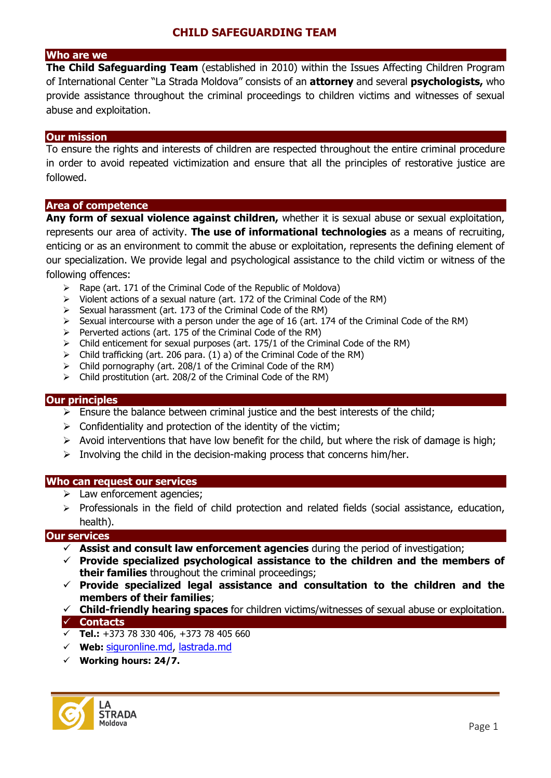### **Who are we**

**The Child Safeguarding Team** (established in 2010) within the Issues Affecting Children Program of International Center "La Strada Moldova" consists of an **attorney** and several **psychologists,** who provide assistance throughout the criminal proceedings to children victims and witnesses of sexual abuse and exploitation.

#### **Our mission**

To ensure the rights and interests of children are respected throughout the entire criminal procedure in order to avoid repeated victimization and ensure that all the principles of restorative justice are followed.

### **Area of competence**

**Any form of sexual violence against children,** whether it is sexual abuse or sexual exploitation, represents our area of activity. **The use of informational technologies** as a means of recruiting, enticing or as an environment to commit the abuse or exploitation, represents the defining element of our specialization. We provide legal and psychological assistance to the child victim or witness of the following offences:

 $\triangleright$  Rape (art. 171 of the Criminal Code of the Republic of Moldova)

**COPILIATION** 

- Violent actions of a sexual nature (art. 172 of the Criminal Code of the RM)
- $\triangleright$  Sexual harassment (art. 173 of the Criminal Code of the RM)
- $\triangleright$  Sexual intercourse with a person under the age of 16 (art. 174 of the Criminal Code of the RM)
- $\triangleright$  Perverted actions (art. 175 of the Criminal Code of the RM)
- $\triangleright$  Child enticement for sexual purposes (art. 175/1 of the Criminal Code of the RM)
- $\triangleright$  Child trafficking (art. 206 para. (1) a) of the Criminal Code of the RM)
- Child pornography (art. 208/1 of the Criminal Code of the RM)
- $\triangleright$  Child prostitution (art. 208/2 of the Criminal Code of the RM)

### **Our principles**

- $\triangleright$  Ensure the balance between criminal justice and the best interests of the child;
- $\triangleright$  Confidentiality and protection of the identity of the victim;
- $\triangleright$  Avoid interventions that have low benefit for the child, but where the risk of damage is high;
- $\triangleright$  Involving the child in the decision-making process that concerns him/her.

#### **Who can request our services**

- $\triangleright$  Law enforcement agencies;
- $\triangleright$  Professionals in the field of child protection and related fields (social assistance, education, health).

### **Our services**

- **Assist and consult law enforcement agencies** during the period of investigation;
- **Provide specialized psychological assistance to the children and the members of their families** throughout the criminal proceedings;
- **Provide specialized legal assistance and consultation to the children and the members of their families**;
- **Child-friendly hearing spaces** for children victims/witnesses of sexual abuse or exploitation. **Contacts**
- **Tel.:** +373 78 330 406, +373 78 405 660
- **Web:** [siguronline.md,](http://lastrada.md/) lastrada.md
- **Working hours: 24/7.**

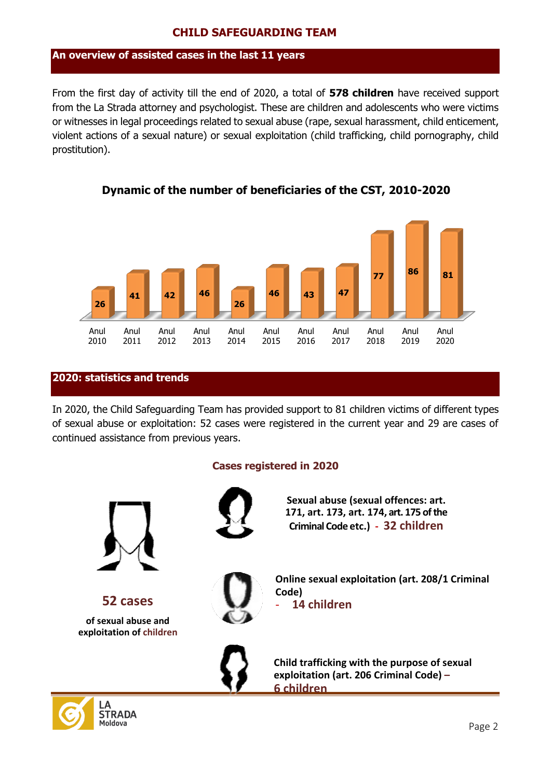#### **Copy An overview of assisted cases in the last 11 years**

From the first day of activity till the end of 2020, a total of **578 children** have received support from the La Strada attorney and psychologist. These are children and adolescents who were victims or witnesses in legal proceedings related to sexual abuse (rape, sexual harassment, child enticement, violent actions of a sexual nature) or sexual exploitation (child trafficking, child pornography, child prostitution).



# **Dynamic of the number of beneficiaries of the CST, 2010-2020**

# **2020: statistics and trends**

**STRADA** Moldova

In 2020, the Child Safeguarding Team has provided support to 81 children victims of different types of sexual abuse or exploitation: 52 cases were registered in the current year and 29 are cases of continued assistance from previous years.

### **Cases registered in 2020**

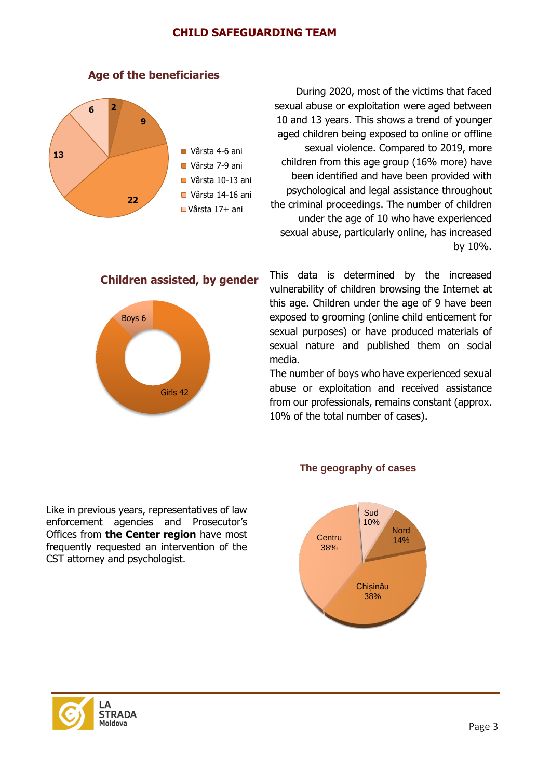

# **Age of the beneficiaries**

During 2020, most of the victims that faced sexual abuse or exploitation were aged between 10 and 13 years. This shows a trend of younger aged children being exposed to online or offline sexual violence. Compared to 2019, more children from this age group (16% more) have been identified and have been provided with psychological and legal assistance throughout the criminal proceedings. The number of children under the age of 10 who have experienced sexual abuse, particularly online, has increased by 10%.

# **Children assisted, by gender**



This data is determined by the increased vulnerability of children browsing the Internet at this age. Children under the age of 9 have been exposed to grooming (online child enticement for sexual purposes) or have produced materials of sexual nature and published them on social media.

The number of boys who have experienced sexual abuse or exploitation and received assistance from our professionals, remains constant (approx. 10% of the total number of cases).

Like in previous years, representatives of law enforcement agencies and Prosecutor's Offices from **the Center region** have most frequently requested an intervention of the CST attorney and psychologist.

#### **The geography of cases**